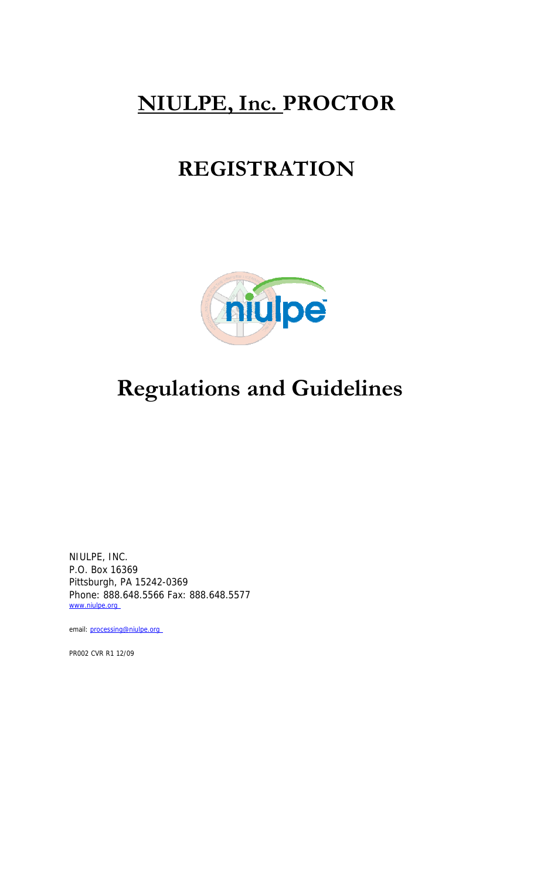# **NIULPE, Inc. PROCTOR**

# **REGISTRATION**



# **Regulations and Guidelines**

NIULPE, INC. P.O. Box 16369 Pittsburgh, PA 15242-0369 Phone: 888.648.5566 Fax: 888.648.5577 www.niulpe.org

email: processing@niulpe.org

PR002 CVR R1 12/09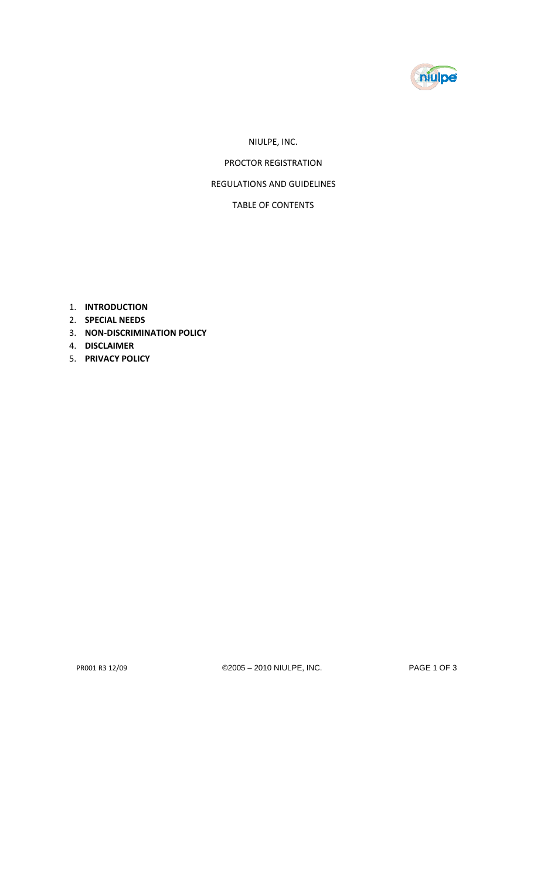

## NIULPE, INC.

PROCTOR REGISTRATION

## REGULATIONS AND GUIDELINES

## TABLE OF CONTENTS

- 1. **INTRODUCTION**
- 2. **SPECIAL NEEDS**
- 3. **NON‐DISCRIMINATION POLICY**
- 4. **DISCLAIMER**
- 5. **PRIVACY POLICY**

PR001 R3 12/09 ©2005 – 2010 NIULPE, INC. PAGE 1 OF 3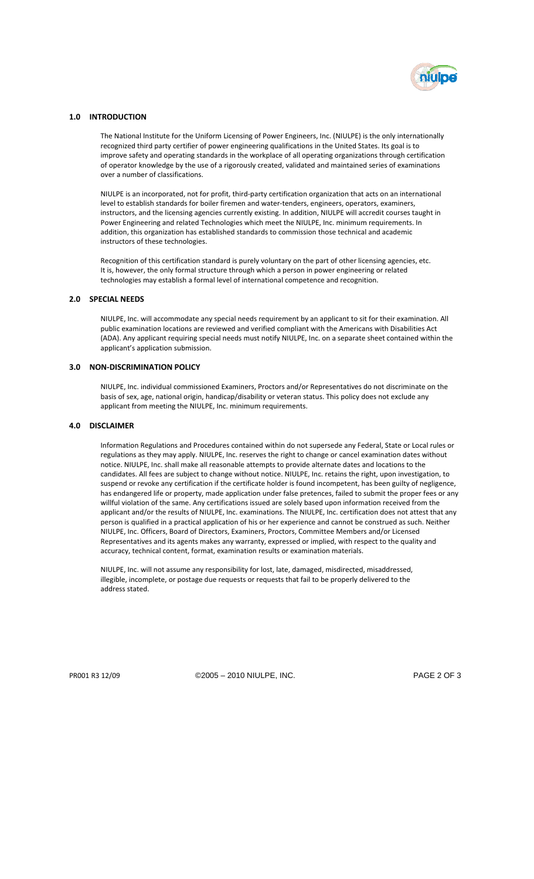

#### **1.0 INTRODUCTION**

The National Institute for the Uniform Licensing of Power Engineers, Inc. (NIULPE) is the only internationally recognized third party certifier of power engineering qualifications in the United States. Its goal is to improve safety and operating standards in the workplace of all operating organizations through certification of operator knowledge by the use of a rigorously created, validated and maintained series of examinations over a number of classifications.

NIULPE is an incorporated, not for profit, third‐party certification organization that acts on an international level to establish standards for boiler firemen and water-tenders, engineers, operators, examiners, instructors, and the licensing agencies currently existing. In addition, NIULPE will accredit courses taught in Power Engineering and related Technologies which meet the NIULPE, Inc. minimum requirements. In addition, this organization has established standards to commission those technical and academic instructors of these technologies.

Recognition of this certification standard is purely voluntary on the part of other licensing agencies, etc. It is, however, the only formal structure through which a person in power engineering or related technologies may establish a formal level of international competence and recognition.

#### **2.0 SPECIAL NEEDS**

NIULPE, Inc. will accommodate any special needs requirement by an applicant to sit for their examination. All public examination locations are reviewed and verified compliant with the Americans with Disabilities Act (ADA). Any applicant requiring special needs must notify NIULPE, Inc. on a separate sheet contained within the applicant's application submission.

### **3.0 NON‐DISCRIMINATION POLICY**

NIULPE, Inc. individual commissioned Examiners, Proctors and/or Representatives do not discriminate on the basis of sex, age, national origin, handicap/disability or veteran status. This policy does not exclude any applicant from meeting the NIULPE, Inc. minimum requirements.

#### **4.0 DISCLAIMER**

Information Regulations and Procedures contained within do not supersede any Federal, State or Local rules or regulations as they may apply. NIULPE, Inc. reserves the right to change or cancel examination dates without notice. NIULPE, Inc. shall make all reasonable attempts to provide alternate dates and locations to the candidates. All fees are subject to change without notice. NIULPE, Inc. retains the right, upon investigation, to suspend or revoke any certification if the certificate holder is found incompetent, has been guilty of negligence, has endangered life or property, made application under false pretences, failed to submit the proper fees or any willful violation of the same. Any certifications issued are solely based upon information received from the applicant and/or the results of NIULPE, Inc. examinations. The NIULPE, Inc. certification does not attest that any person is qualified in a practical application of his or her experience and cannot be construed as such. Neither NIULPE, Inc. Officers, Board of Directors, Examiners, Proctors, Committee Members and/or Licensed Representatives and its agents makes any warranty, expressed or implied, with respect to the quality and accuracy, technical content, format, examination results or examination materials.

NIULPE, Inc. will not assume any responsibility for lost, late, damaged, misdirected, misaddressed, illegible, incomplete, or postage due requests or requests that fail to be properly delivered to the address stated.

PR001 R3 12/09 ©2005 – 2010 NIULPE, INC. PAGE 2 OF 3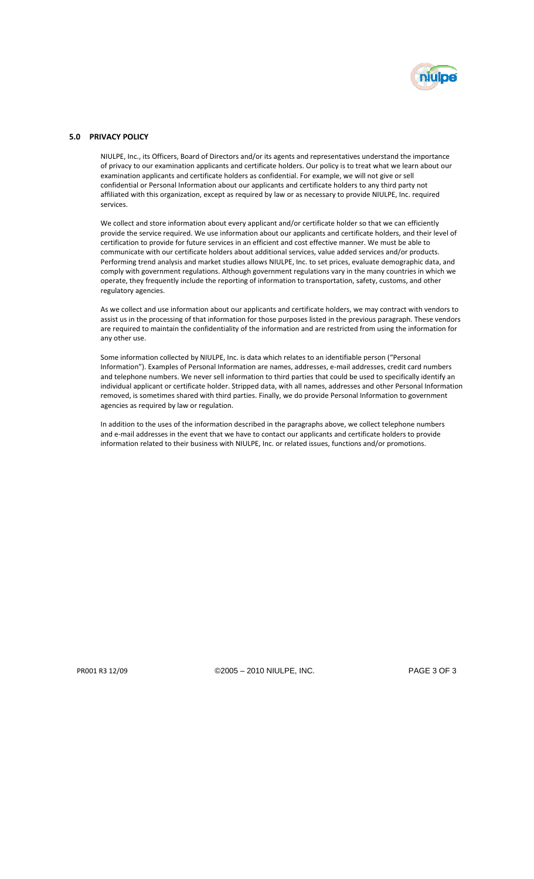

### **5.0 PRIVACY POLICY**

NIULPE, Inc., its Officers, Board of Directors and/or its agents and representatives understand the importance of privacy to our examination applicants and certificate holders. Our policy is to treat what we learn about our examination applicants and certificate holders as confidential. For example, we will not give or sell confidential or Personal Information about our applicants and certificate holders to any third party not affiliated with this organization, except as required by law or as necessary to provide NIULPE, Inc. required services.

We collect and store information about every applicant and/or certificate holder so that we can efficiently provide the service required. We use information about our applicants and certificate holders, and their level of certification to provide for future services in an efficient and cost effective manner. We must be able to communicate with our certificate holders about additional services, value added services and/or products. Performing trend analysis and market studies allows NIULPE, Inc. to set prices, evaluate demographic data, and comply with government regulations. Although government regulations vary in the many countries in which we operate, they frequently include the reporting of information to transportation, safety, customs, and other regulatory agencies.

As we collect and use information about our applicants and certificate holders, we may contract with vendors to assist us in the processing of that information for those purposes listed in the previous paragraph. These vendors are required to maintain the confidentiality of the information and are restricted from using the information for any other use.

Some information collected by NIULPE, Inc. is data which relates to an identifiable person ("Personal Information"). Examples of Personal Information are names, addresses, e‐mail addresses, credit card numbers and telephone numbers. We never sell information to third parties that could be used to specifically identify an individual applicant or certificate holder. Stripped data, with all names, addresses and other Personal Information removed, is sometimes shared with third parties. Finally, we do provide Personal Information to government agencies as required by law or regulation.

In addition to the uses of the information described in the paragraphs above, we collect telephone numbers and e-mail addresses in the event that we have to contact our applicants and certificate holders to provide information related to their business with NIULPE, Inc. or related issues, functions and/or promotions.

PR001 R3 12/09 ©2005 – 2010 NIULPE, INC. PAGE 3 OF 3